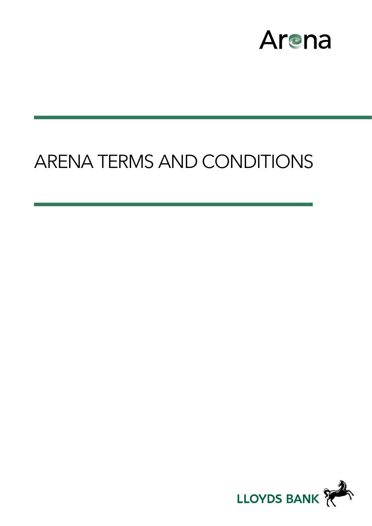

# ARENA TERMS AND CONDITIONS

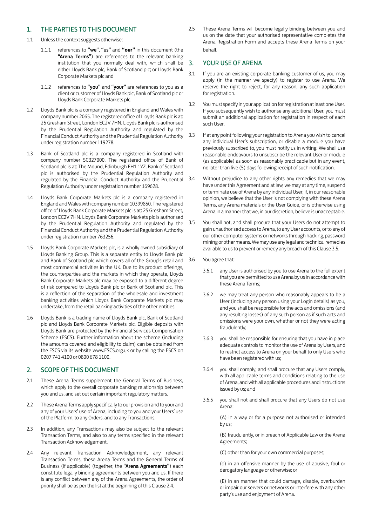# 1. THE PARTIES TO THIS DOCUMENT

- 1.1 Unless the context suggests otherwise:
	- 1.1.1 references to "we", "us" and **"our"** in this document (the "Arena Terms") are references to the relevant banking institution that you normally deal with, which shall be either Lloyds Bank plc, Bank of Scotland plc; or Lloyds Bank Corporate Markets plc and
	- 1.1.2 references to "you" and "your" are references to you as a client or customer of Lloyds Bank plc, Bank of Scotland plc or Lloyds Bank Corporate Markets plc.
- 1.2 Lloyds Bank plc is a company registered in England and Wales with company number 2065. The registered office of Lloyds Bank plc is at: 25 Gresham Street, London EC2V 7HN. Lloyds Bank plc is authorised by the Prudential Regulation Authority and regulated by the Financial Conduct Authority and the Prudential Regulation Authority 3.3 under registration number 119278.
- 1.3 Bank of Scotland plc is a company registered in Scotland with company number SC327000. The registered office of Bank of Scotland plc is at: The Mound, Edinburgh EH1 1YZ. Bank of Scotland plc is authorised by the Prudential Regulation Authority and regulated by the Financial Conduct Authority and the Prudential Regulation Authority under registration number 169628.
- 1.4 Lloyds Bank Corporate Markets plc is a company registered in England and Wales with company number 10399850. The registered office of Lloyds Bank Corporate Markets plc is at: 25 Gresham Street, London EC2V 7HN. Lloyds Bank Corporate Markets plc is authorised by the Prudential Regulation Authority and regulated by the Financial Conduct Authority and the Prudential Regulation Authority under registration number 763256.
- 1.5 Lloyds Bank Corporate Markets plc, is a wholly owned subsidiary of Lloyds Banking Group. This is a separate entity to Lloyds Bank plc and Bank of Scotland plc which covers all of the Group's retail and most commercial activities in the UK. Due to its product offerings, the counterparties and the markets in which they operate, Lloyds Bank Corporate Markets plc may be exposed to a different degree of risk compared to Lloyds Bank plc or Bank of Scotland plc. This is a reflection of the separation of the wholesale and investment banking activities which Lloyds Bank Corporate Markets plc may undertake, from the retail banking activities of the other entities.
- 1.6 Lloyds Bank is a trading name of Lloyds Bank plc, Bank of Scotland plc and Lloyds Bank Corporate Markets plc. Eligible deposits with Lloyds Bank are protected by the Financial Services Compensation Scheme (FSCS). Further information about the scheme (including the amounts covered and eligibility to claim) can be obtained from the FSCS via its website www.FSCS.org.uk or by calling the FSCS on 0207 741 4100 or 0800 678 1100.

# 2. SCOPE OF THIS DOCUMENT

- 2.1 These Arena Terms supplement the General Terms of Business, which apply to the overall corporate banking relationship between you and us, and set out certain important regulatory matters.
- 2.2 These Arena Terms apply specifically to our provision and to your and any of your Users' use of Arena, including to you and your Users' use of the Platform, to any Orders, and to any Transactions.
- 2.3 In addition, any Transactions may also be subject to the relevant Transaction Terms, and also to any terms specified in the relevant Transaction Acknowledgement.
- 2.4 Any relevant Transaction Acknowledgement, any relevant Transaction Terms, these Arena Terms and the General Terms of Business (if applicable) (together, the "Arena Agreements") each constitute legally binding agreements between you and us. If there is any conflict between any of the Arena Agreements, the order of priority shall be as per the list at the beginning of this Clause 2.4.

2.5 These Arena Terms will become legally binding between you and us on the date that your authorised representative completes the Arena Registration Form and accepts these Arena Terms on your behalf.

# 3. YOUR USE OF ARENA

- 3.1 If you are an existing corporate banking customer of us, you may apply (in the manner we specfy) to register to use Arena. We reserve the right to reject, for any reason, any such application for registration.
- 3.2 You must specify in your application for registration at least one User. If you subsequently wish to authorise any additional User, you must submit an additional application for registration in respect of each such User.
- If at any point following your registration to Arena you wish to cancel any individual User's subscription, or disable a module you have previously subscribed to, you must notify us in writing. We shall use reasonable endeavours to unsubscribe the relevant User or module (as applicable) as soon as reasonably practicable but in any event, no later than five (5) days following receipt of such notification.
- Without prejudice to any other rights any remedies that we may have under this Agreement and at law, we may at any time, suspend or terminate use of Arena by any individual User, if, in our reasonable opinion, we believe that the User is not complying with these Arena Terms, any Arena materials or the User Guide, or is otherwise using Arena in a manner that we, in our discretion, believe is unacceptable.
- 3.5 You shall not, and shall procure that your Users do not attempt to gain unauthorised access to Arena, to any User accounts, or to any of our other computer systems or networks through hacking, password mining or other means. We may use any legal and technical remedies available to us to prevent or remedy any breach of this Clause 3.5.
- 3.6 You agree that:
	- 3.6.1 any User is authorised by you to use Arena to the full extent that you are permitted to use Arena by us in accordance with these Arena Terms;
	- 3.6.2 we may treat any person who reasonably appears to be a User (including any person using your Login details) as you, and you shall be responsible for the acts and omissions (and any resulting losses) of any such person as if such acts and omissions were your own, whether or not they were acting fraudulently;
	- 3.6.3 you shall be responsible for ensuring that you have in place adequate controls to monitor the use of Arena by Users, and to restrict access to Arena on your behalf to only Users who have been registered with us;
	- 3.6.4 you shall comply, and shall procure that any Users comply, with all applicable terms and conditions relating to the use of Arena, and with all applicable procedures and instructions issued by us; and
	- 3.6.5 you shall not and shall procure that any Users do not use Arena:

 (A) in a way or for a purpose not authorised or intended by us;

 (B) fraudulently, or in breach of Applicable Law or the Arena Agreements;

(C) other than for your own commercial purposes;

 (d) in an offensive manner by the use of abusive, foul or derogatory language or otherwise; or

 (E) in an manner that could damage, disable, overburden or impair our servers or networks or interfere with any other party's use and enjoyment of Arena.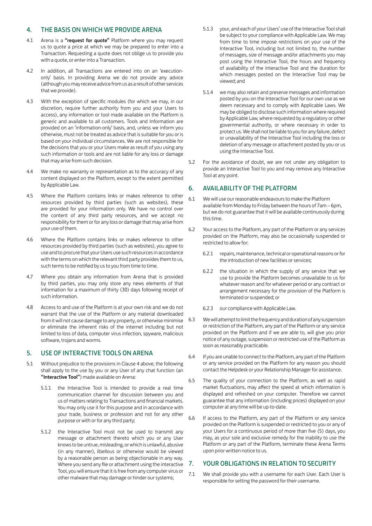## 4. THE BASIS ON WHICH WE PROVIDE ARENA

- 4.1 Arena is a "request for quote" Platform where you may request us to quote a price at which we may be prepared to enter into a Transaction. Requesting a quote does not oblige us to provide you with a quote, or enter into a Transaction.
- 4.2 In addition, all Transactions are entered into on an 'executiononly' basis. In providing Arena we do not provide any advice (although you may receive advice from us as a result of other services that we provide).
- 4.3 With the exception of specific modules (for which we may, in our discretion, require further authority from you and your Users to access), any information or tool made available on the Platform is generic and available to all customers. Tools and Information are provided on an 'information-only' basis, and, unless we inform you otherwise, must not be treated as advice that is suitable for you or is based on your individual circumstances. We are not responsible for the decisions that you or your Users make as result of you using any such information or tools and are not liable for any loss or damage that may arise from such decision.
- 4.4 We make no warranty or representation as to the accuracy of any content displayed on the Platform, except to the extent permitted by Applicable Law.
- 4.5 Where the Platform contains links or makes reference to other resources provided by third parties (such as websites), these are provided for your information only. We have no control over the content of any third party resources, and we accept no responsibility for them or for any loss or damage that may arise from your use of them.
- 4.6 Where the Platform contains links or makes reference to other resources provided by third parties (such as websites), you agree to use and to procure that your Users use such resources in accordance with the terms on which the relevant third party provides them to us, such terms to be notified by us to you from time to time.
- 4.7 Where you obtain any information from Arena that is provided by third parties, you may only store any news elements of that information for a maximum of thirty (30) days following receipt of such information.
- 4.8 Access to and use of the Platform is at your own risk and we do not warrant that the use of the Platform or any material downloaded from it will not cause damage to any property, or otherwise minimise or eliminate the inherent risks of the internet including but not limited to loss of data, computer virus infection, spyware, malicious software, trojans and worms.

# 5. USE OF INTERACTIVE TOOLS ON ARENA

- 5.1 Without prejudice to the provisions in Clause 4 above, the following shall apply to the use by you or any User of any chat function (an "Interactive Tool") made available on Arena:
	- 5.1.1 the Interactive Tool is intended to provide a real time communication channel for discussion between you and us of matters relating to Transactions and financial markets. You may only use it for this purpose and in accordance with your trade, business or profession and not for any other purpose or with or for any third party;
	- 5.1.2 the Interactive Tool must not be used to transmit any message or attachment thereto which you or any User knows to be untrue, misleading, or which is unlawful, abusive (in any manner), libellous or otherwise would be viewed by a reasonable person as being objectionable in any way. Where you send any file or attachment using the interactive Tool, you will ensure that it is free from any computer virus or other malware that may damage or hinder our systems;
- 5.1.3 your, and each of your Users' use of the Interactive Tool shall be subject to your compliance with Applicable Law. We may from time to time impose restrictions on your use of the Interactive Tool, including but not limited to, the number of messages, size of message and/or attachments you may post using the Interactive Tool, the hours and frequency of availability of the Interactive Tool and the duration for which messages posted on the Interactive Tool may be viewed; and
- 5.1.4 we may also retain and preserve messages and information posted by you on the Interactive Tool for our own use as we deem necessary and to comply with Applicable Laws. We may be obliged to disclose such information where required by Applicable Law, where requested by a regulatory or other governmental authority, or where necessary in order to protect us. We shall not be liable to you for any failure, defect or unavailability of the Interactive Tool including the loss or deletion of any message or attachment posted by you or us using the Interactive Tool.
- 5.2 For the avoidance of doubt, we are not under any obligation to provide an Interactive Tool to you and may remove any Interactive Tool at any point.

## 6. AVAILABILITY OF THE PLATFORM

- 6.1 We will use our reasonable endeavours to make the Platform available from Monday to Friday between the hours of 7am – 6pm, but we do not guarantee that it will be available continuously during this time.
- 6.2 Your access to the Platform, any part of the Platform or any services provided on the Platform, may also be occasionally suspended or restricted to allow for:
	- 6.2.1 repairs, maintenance, technical or operational reasons or for the introduction of new facilities or services;
	- 6.2.2 the situation in which the supply of any service that we use to provide the Platform becomes unavailable to us for whatever reason and for whatever period or any contract or arrangement necessary for the provision of the Platform is terminated or suspended; or
	- 6.2.3 our compliance with Applicable Law.
- 6.3 We will attempt to limit the frequency and duration of any suspension or restriction of the Platform, any part of the Platform or any service provided on the Platform and if we are able to, will give you prior notice of any outage, suspension or restricted use of the Platform as soon as reasonably practicable.
- 6.4 If you are unable to connect to the Platform, any part of the Platform or any service provided on the Platform for any reason you should contact the Helpdesk or your Relationship Manager for assistance.
- 6.5 The quality of your connection to the Platform, as well as rapid market fluctuations, may affect the speed at which information is displayed and refreshed on your computer. Therefore we cannot guarantee that any information (including prices) displayed on your computer at any time will be up-to-date.
- 6.6 If access to the Platform, any part of the Platform or any service provided on the Platform is suspended or restricted to you or any of your Users for a continuous period of more than five (5) days, you may, as your sole and exclusive remedy for the inability to use the Platform or any part of the Platform, terminate these Arena Terms upon prior written notice to us.

# 7. YOUR OBLIGATIONS IN RELATION TO SECURITY

7.1 We shall provide you with a username for each User. Each User is responsible for setting the password for their username.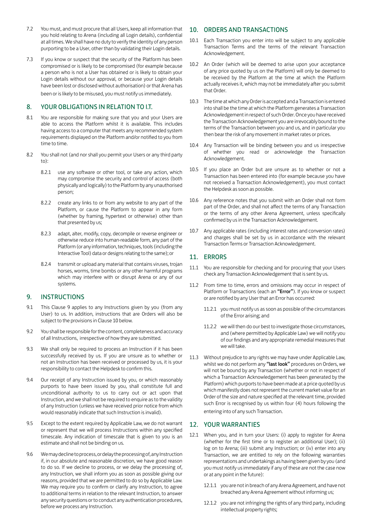- 7.2 You must, and must procure that all Users, keep all information that you hold relating to Arena (including all Login details), confidential at all times. We shall have no duty to verify the identity of any person purporting to be a User, other than by validating their Login details.
- 7.3 If you know or suspect that the security of the Platform has been compromised or is likely to be compromised (for example because a person who is not a User has obtained or is likely to obtain your Login details without our approval, or because your Login details have been lost or disclosed without authorisation) or that Arena has been or is likely to be misused, you must notify us immediately.

## 8. YOUR OBLIGATIONS IN RELATION TO I.T.

- 8.1 You are responsible for making sure that you and your Users are able to access the Platform whilst it is available. This includes having access to a computer that meets any recommended system requirements displayed on the Platform and/or notified to you from time to time.
- 8.2 You shall not (and nor shall you permit your Users or any third party to):
	- 8.2.1 use any software or other tool, or take any action, which may compromise the security and control of access (both physically and logically) to the Platform by any unauthorised person;
	- 8.2.2 create any links to or from any website to any part of the Platform, or cause the Platform to appear in any form (whether by framing, hypertext or otherwise) other than that presented by us;
	- 8.2.3 adapt, alter, modify, copy, decompile or reverse engineer or otherwise reduce into human-readable form, any part of the Platform (or any information, techniques, tools (including the Interactive Tool) data or designs relating to the same); or
	- 8.2.4 transmit or upload any material that contains viruses, trojan horses, worms, time bombs or any other harmful programs which may interfere with or disrupt Arena or any of our systems.

# 9. INSTRUCTIONS

- 9.1 This Clause 9 applies to any Instructions given by you (from any User) to us. In addition, instructions that are Orders will also be subject to the provisions in Clause 10 below.
- 9.2 You shall be responsible for the content, completeness and accuracy of all Instructions, irrespective of how they are submitted.
- 9.3 We shall only be required to process an Instruction if it has been successfully received by us. If you are unsure as to whether or not an Instruction has been received or processed by us, it is your responsibility to contact the Helpdesk to confirm this.
- 9.4 Our receipt of any Instruction issued by you, or which reasonably purports to have been issued by you, shall constitute full and unconditional authority to us to carry out or act upon that Instruction, and we shall not be required to enquire as to the validity of any Instruction (unless we have received prior notice from which would reasonably indicate that such Instruction is invalid).
- 9.5 Except to the extent required by Applicable Law, we do not warrant or represent that we will process Instructions within any specified timescale. Any indication of timescale that is given to you is an estimate and shall not be binding on us.
- 9.6 We may decline to process, or delay the processing of, any Instruction if, in our absolute and reasonable discretion, we have good reason to do so. If we decline to process, or we delay the processing of, any Instruction, we shall inform you as soon as possible giving our reasons, provided that we are permitted to do so by Applicable Law. We may require you to confirm or clarify any Instruction, to agree to additional terms in relation to the relevant Instruction, to answer any security questions or to conduct any authentication procedures, before we process any Instruction.

## 10. ORDERS AND TRANSACTIONS

- 10.1 Each Transaction you enter into will be subject to any applicable Transaction Terms and the terms of the relevant Transaction Acknowledgement.
- 10.2 An Order (which will be deemed to arise upon your acceptance of any price quoted by us on the Platform) will only be deemed to be received by the Platform at the time at which the Platform actually receives it, which may not be immediately after you submit that Order.
- 10.3 The time at which any Order is accepted and a Transaction is entered into shall be the time at which the Platform generates a Transaction Acknowledgement in respect of such Order. Once you have received the Transaction Acknowledgement you are irrevocably bound to the terms of the Transaction between you and us, and in particular you then bear the risk of any movement in market rates or prices.
- 10.4 Any Transaction will be binding between you and us irrespective of whether you read or acknowledge the Transaction Acknowledgement.
- 10.5 If you place an Order but are unsure as to whether or not a Transaction has been entered into (for example because you have not received a Transaction Acknowledgement), you must contact the Helpdesk as soon as possible.
- 10.6 Any reference notes that you submit with an Order shall not form part of the Order, and shall not affect the terms of any Transaction or the terms of any other Arena Agreement, unless specifically confirmed by us in the Transaction Acknowledgement.
- 10.7 Any applicable rates (including interest rates and conversion rates) and charges shall be set by us in accordance with the relevant Transaction Terms or Transaction Acknowledgement.

## 11. ERRORS

- 11.1 You are responsible for checking and for procuring that your Users check any Transaction Acknowledgement that is sent by us.
- 11.2 From time to time, errors and omissions may occur in respect of Platform or Transactions (each an "Error"). If you know or suspect or are notified by any User that an Error has occurred:
	- 11.2.1 you must notify us as soon as possible of the circumstances of the Error arising; and
	- 11.2.2 we will then do our best to investigate those circumstances, and (where permitted by Applicable Law) we will notify you of our findings and any appropriate remedial measures that we will take.
- 11.3 Without prejudice to any rights we may have under Applicable Law, whilst we do not perform any "last look" procedures on Orders, we will not be bound by any Transaction (whether or not in respect of which a Transaction Acknowledgement has been generated by the Platform) which purports to have been made at a price quoted by us which manifestly does not represent the current market value for an Order of the size and nature specified at the relevant time, provided such Error is recognised by us within four (4) hours following the entering into of any such Transaction.

## 12. YOUR WARRANTIES

- 12.1 When you, and in turn your Users: (i) apply to register for Arena (whether for the first time or to register an additional User); (ii) log on to Arena; (iii) submit any Instruction; or (iv) enter into any Transaction, we are entitled to rely on the following warranties representations and undertakings as having been given by you (and you must notify us immediately if any of these are not the case now or at any point in the future):
	- 12.1.1 you are not in breach of any Arena Agreement, and have not breached any Arena Agreement without informing us;
	- 12.1.2 you are not infringing the rights of any third party, including intellectual property rights;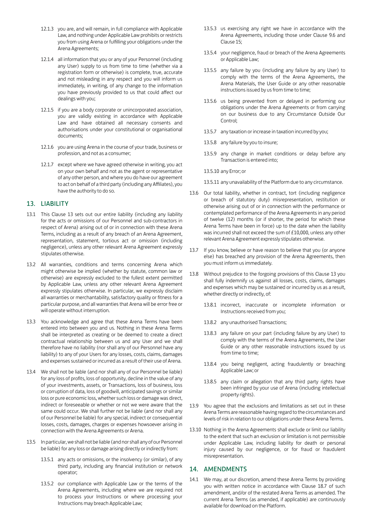- 12.1.3 you are, and will remain, in full compliance with Applicable Law, and nothing under Applicable Law prohibits or restricts you from using Arena or fulfilling your obligations under the Arena Agreements;
- 12.1.4 all information that you or any of your Personnel (including any User) supply to us from time to time (whether via a registration form or otherwise) is complete, true, accurate and not misleading in any respect and you will inform us immediately, in writing, of any change to the information you have previously provided to us that could affect our dealings with you;
- 12.1.5 if you are a body corporate or unincorporated association, you are validly existing in accordance with Applicable Law and have obtained all necessary consents and authorisations under your constitutional or organisational documents;
- 12.1.6 you are using Arena in the course of your trade, business or profession, and not as a consumer;
- 12.1.7 except where we have agreed otherwise in writing, you act on your own behalf and not as the agent or representative of any other person, and where you do have our agreement to act on behalf of a third party (including any Affiliates), you have the authority to do so.

# 13. LIABILITY

- 13.1 This Clause 13 sets out our entire liability (including any liability for the acts or omissions of our Personnel and sub-contractors in respect of Arena) arising out of or in connection with these Arena Terms, including as a result of any breach of an Arena Agreement, representation, statement, tortious act or omission (including negligence), unless any other relevant Arena Agreement expressly stipulates otherwise.
- 13.2 All warranties, conditions and terms concerning Arena which might otherwise be implied (whether by statute, common law or otherwise) are expressly excluded to the fullest extent permitted by Applicable Law, unless any other relevant Arena Agreement expressly stipulates otherwise. In particular, we expressly disclaim all warranties or merchantability, satisfactory quality or fitness for a particular purpose, and all warranties that Arena will be error free or will operate without interruption.
- 13.3 You acknowledge and agree that these Arena Terms have been entered into between you and us. Nothing in these Arena Terms shall be interpreted as creating or be deemed to create a direct contractual relationship between us and any User and we shall therefore have no liability (nor shall any of our Personnel have any liability) to any of your Users for any losses, costs, claims, damages and expenses sustained or incurred as a result of their use of Arena.
- 13.4 We shall not be liable (and nor shall any of our Personnel be liable) for any loss of profits, loss of opportunity, decline in the value of any of your investments, assets, or Transactions, loss of business, loss or corruption of data, loss of goodwill, anticipated savings or similar loss or pure economic loss, whether such loss or damage was direct, indirect or foreseeable or whether or not we were aware that the same could occur. We shall further not be liable (and nor shall any of our Personnel be liable) for any special, indirect or consequential losses, costs, damages, charges or expenses howsoever arising in connection with the Arena Agreements or Arena.
- 13.5 In particular, we shall not be liable (and nor shall any of our Personnel be liable) for any loss or damage arising directly or indirectly from:
	- 13.5.1 any acts or omissions, or the insolvency (or similar), of any third party, including any financial institution or network operator;
	- 13.5.2 our compliance with Applicable Law or the terms of the Arena Agreements, including where we are required not to process your Instructions or where processing your Instructions may breach Applicable Law;
- 13.5.3 us exercising any right we have in accordance with the Arena Agreements, including those under Clause 9.6 and Clause 15;
- 13.5.4 your negligence, fraud or breach of the Arena Agreements or Applicable Law;
- 13.5.5 any failure by you (including any failure by any User) to comply with the terms of the Arena Agreements, the Arena Materials, the User Guide or any other reasonable instructions issued by us from time to time;
- 13.5.6 us being prevented from or delayed in performing our obligations under the Arena Agreements or from carrying on our business due to any Circumstance Outside Our Control;
- 13.5.7 any taxation or increase in taxation incurred by you;
- 13.5.8 any failure by you to insure;
- 13.5.9 any change in market conditions or delay before any Transaction is entered into;

13.5.10 any Error; or

13.5.11 any unavailability of the Platform due to any circumstance.

- 13.6 Our total liability, whether in contract, tort (including negligence or breach of statutory duty) misrepresentation, restitution or otherwise arising out of or in connection with the performance or contemplated performance of the Arena Agreements in any period of twelve (12) months (or if shorter, the period for which these Arena Terms have been in force) up to the date when the liability was incurred shall not exceed the sum of £10,000, unless any other relevant Arena Agreement expressly stipulates otherwise.
- 13.7 If you know, believe or have reason to believe that you (or anyone else) has breached any provision of the Arena Agreements, then you must inform us immediately.
- 13.8 Without prejudice to the forgoing provisions of this Clause 13 you shall fully indemnify us against all losses, costs, claims, damages and expenses which may be sustained or incurred by us as a result, whether directly or indirectly, of:
	- 13.8.1 incorrect, inaccurate or incomplete information or Instructions received from you;
	- 13.8.2 any unauthorised Transactions;
	- 13.8.3 any failure on your part (including failure by any User) to comply with the terms of the Arena Agreements, the User Guide or any other reasonable instructions issued by us from time to time:
	- 13.8.4 you being negligent, acting fraudulently or breaching Applicable Law; or
	- 13.8.5 any claim or allegation that any third party rights have been infringed by your use of Arena (including intellectual property rights).
- 13.9 You agree that the exclusions and limitations as set out in these Arena Terms are reasonable having regard to the circumstances and levels of risk in relation to our obligations under these Arena Terms.
- 13.10 Nothing in the Arena Agreements shall exclude or limit our liability to the extent that such an exclusion or limitation is not permissible under Applicable Law, including liability for death or personal injury caused by our negligence, or for fraud or fraudulent misrepresentation.

# 14. AMENDMENTS

14.1 We may, at our discretion, amend these Arena Terms by providing you with written notice in accordance with Clause 18.7 of such amendment, and/or of the restated Arena Terms as amended. The current Arena Terms (as amended, if applicable) are continuously available for download on the Platform.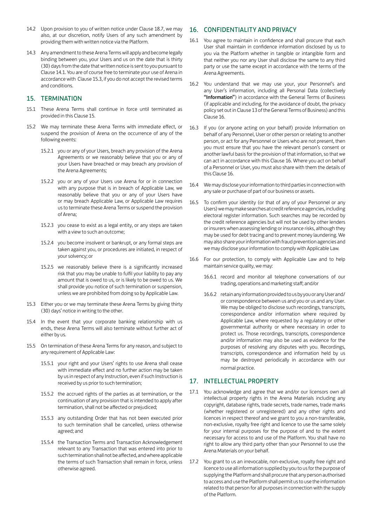- 14.2 Upon provision to you of written notice under Clause 18.7, we may also, at our discretion, notify Users of any such amendment by providing them with written notice via the Platform.
- 14.3 Any amendment to these Arena Terms will apply and become legally binding between you, your Users and us on the date that is thirty (30) days from the date that written notice is sent to you pursuant to Clause 14.1. You are of course free to terminate your use of Arena in accordance with Clause 15.3, if you do not accept the revised terms and conditions.

## 15. TERMINATION

- 15.1 These Arena Terms shall continue in force until terminated as provided in this Clause 15.
- 15.2 We may terminate these Arena Terms with immediate effect, or suspend the provision of Arena on the occurrence of any of the following events:
	- 15.2.1 you or any of your Users, breach any provision of the Arena Agreements or we reasonably believe that you or any of your Users have breached or may breach any provision of the Arena Agreements;
	- 15.2.2 you or any of your Users use Arena for or in connection with any purpose that is in breach of Applicable Law, we reasonably believe that you or any of your Users have or may breach Applicable Law, or Applicable Law requires us to terminate these Arena Terms or suspend the provision of Arena;
	- 15.2.3 you cease to exist as a legal entity, or any steps are taken with a view to such an outcome;
	- 15.2.4 you become insolvent or bankrupt, or any formal steps are taken against you, or procedures are initiated, in respect of your solvency; or
	- 15.2.5 we reasonably believe there is a significantly increased risk that you may be unable to fulfil your liability to pay any amount that is owed to us, or is likely to be owed to us. We shall provide you notice of such termination or suspension, unless we are prohibited from doing so by Applicable Law.
- 15.3 Either you or we may terminate these Arena Terms by giving thirty (30) days' notice in writing to the other.
- 15.4 In the event that your corporate banking relationship with us ends, these Arena Terms will also terminate without further act of either by us.
- 15.5 On termination of these Arena Terms for any reason, and subject to any requirement of Applicable Law:
	- 15.5.1 your right and your Users' rights to use Arena shall cease with immediate effect and no further action may be taken by us in respect of any Instruction, even if such Instruction is received by us prior to such termination;
	- 15.5.2 the accrued rights of the parties as at termination, or the continuation of any provision that is intended to apply after termination, shall not be affected or prejudiced;
	- 15.5.3 any outstanding Order that has not been executed prior to such termination shall be cancelled, unless otherwise agreed; and
	- 15.5.4 the Transaction Terms and Transaction Acknowledgement relevant to any Transaction that was entered into prior to such termination shall not be affected, and where applicable the terms of such Transaction shall remain in force, unless otherwise agreed.

# 16. CONFIDENTIALITY AND PRIVACY

- 16.1 You agree to maintain in confidence and shall procure that each User shall maintain in confidence information disclosed by us to you via the Platform whether in tangible or intangible form and that neither you nor any User shall disclose the same to any third party or use the same except in accordance with the terms of the Arena Agreements.
- 16.2 You understand that we may use your, your Personnel's and any User's information, including all Personal Data (collectively "Information") in accordance with the General Terms of Business (if applicable and including, for the avoidance of doubt, the privacy policy set out in Clause 13 of the General Terms of Business) and this Clause 16.
- 16.3 If you (or anyone acting on your behalf) provide Information on behalf of any Personnel, User or other person or relating to another person, or act for any Personnel or Users who are not present, then you must ensure that you have the relevant person's consent or another lawful basis for the provision of that information, so that we can act in accordance with this Clause 16. Where you act on behalf of a Personnel or User, you must also share with them the details of this Clause 16.
- 16.4 We may disclose your information to third parties in connection with any sale or purchase of part of our business or assets.
- 16.5 To confirm your identity (or that of any of your Personnel or any Users) we may make searches at credit reference agencies, including electoral register information. Such searches may be recorded by the credit reference agencies but will not be used by other lenders or insurers when assessing lending or insurance risks, although they may be used for debt tracing and to prevent money laundering. We may also share your information with fraud prevention agencies and we may disclose your information to comply with Applicable Law.
- 16.6 For our protection, to comply with Applicable Law and to help maintain service quality, we may:
	- 16.6.1 record and monitor all telephone conversations of our trading, operations and marketing staff; and/or
	- 16.6.2 retain any information provided to us by you or any User and/ or correspondence between us and you or us and any User. We may be obliged to disclose such recordings, transcripts, correspondence and/or information where required by Applicable Law, where requested by a regulatory or other governmental authority or where necessary in order to protect us. Those recordings, transcripts, correspondence and/or information may also be used as evidence for the purposes of resolving any disputes with you. Recordings, transcripts, correspondence and information held by us may be destroyed periodically in accordance with our normal practice.

# 17. INTELLECTUAL PROPERTY

- 17.1 You acknowledge and agree that we and/or our licensors own all intellectual property rights in the Arena Materials including any copyright, database rights, trade secrets, trade names, trade marks (whether registered or unregistered) and any other rights and licences in respect thereof and we grant to you a non-transferable, non-exclusive, royalty free right and licence to use the same solely for your internal purposes for the purpose of and to the extent necessary for access to and use of the Platform. You shall have no right to allow any third party other than your Personnel to use the Arena Materials on your behalf.
- 17.2 You grant to us an irrevocable, non-exclusive, royalty free right and licence to use all information supplied by you to us for the purpose of supplying the Platform and shall procure that any person authorised to access and use the Platform shall permit us to use the information related to that person for all purposes in connection with the supply of the Platform.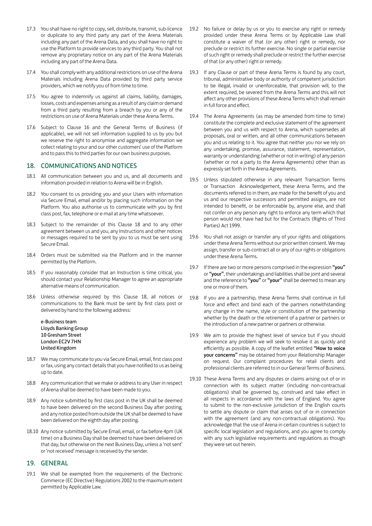- 17.3 You shall have no right to copy, sell, distribute, transmit, sub-licence or duplicate to any third party any part of the Arena Materials including any part of the Arena Data, and you shall have no right to use the Platform to provide services to any third party. You shall not remove any proprietary notice on any part of the Arena Materials including any part of the Arena Data.
- 17.4 You shall comply with any additional restrictions on use of the Arena Materials including Arena Data provided by third party service providers, which we notify you of from time to time.
- 17.5 You agree to indemnify us against all claims, liability, damages, losses, costs and expenses arising as a result of any claim or demand from a third party resulting from a breach by you or any of the restrictions on use of Arena Materials under these Arena Terms.
- 17.6 Subject to Clause 16 and the General Terms of Business (if applicable), we will not sell information supplied to us by you but we reserve the right to anonymise and aggregate information we collect relating to your and our other customers' use of the Platform and to pass this to third parties for our own business purposes.

# 18. COMMUNICATIONS AND NOTICES

- 18.1 All communication between you and us, and all documents and information provided in relation to Arena will be in English.
- 18.2 You consent to us providing you and your Users with information via Secure Email, email and/or by placing such information on the Platform. You also authorise us to communicate with you by first class post, fax, telephone or e-mail at any time whatsoever.
- 18.3 Subject to the remainder of this Clause 18 and to any other agreement between us and you, any Instructions and other notices or messages required to be sent by you to us must be sent using Secure Email.
- 18.4 Orders must be submitted via the Platform and in the manner permitted by the Platform.
- 18.5 If you reasonably consider that an Instruction is time critical, you should contact your Relationship Manager to agree an appropriate alternative means of communication.
- 18.6 Unless otherwise required by this Clause 18, all notices or communications to the Bank must be sent by first class post or delivered by hand to the following address:

 e-Business team Lloyds Banking Group 10 Gresham Street London EC2V 7HN United Kingdom

- 18.7 We may communicate to you via Secure Email, email, first class post or fax, using any contact details that you have notified to us as being up to date.
- 18.8 Any communication that we make or address to any User in respect of Arena shall be deemed to have been made to you.
- 18.9 Any notice submitted by first class post in the UK shall be deemed to have been delivered on the second Business Day after posting, and any notice posted from outside the UK shall be deemed to have been delivered on the eighth day after posting.
- 18.10 Any notice submitted by Secure Email, email, or fax before 4pm (UK time) on a Business Day shall be deemed to have been delivered on that day, but otherwise on the next Business Day, unless a 'not sent' or 'not received' message is received by the sender.

# 19. GENERAL

19.1 We shall be exempted from the requirements of the Electronic Commerce (EC Directive) Regulations 2002 to the maximum extent permitted by Applicable Law.

- 19.2 No failure or delay by us or you to exercise any right or remedy provided under these Arena Terms or by Applicable Law shall constitute a waiver of that (or any other) right or remedy, nor preclude or restrict its further exercise. No single or partial exercise of such right or remedy shall preclude or restrict the further exercise of that (or any other) right or remedy.
- 19.3 If any Clause or part of these Arena Terms is found by any court, tribunal, administrative body or authority of competent jurisdiction to be illegal, invalid or unenforceable, that provision will, to the extent required, be severed from the Arena Terms and this will not affect any other provisions of these Arena Terms which shall remain in full force and effect.
- 19.4 The Arena Agreements (as may be amended from time to time) constitute the complete and exclusive statement of the agreement between you and us with respect to Arena, which supersedes all proposals, oral or written, and all other communications between you and us relating to it. You agree that neither you nor we rely on any undertaking, promise, assurance, statement, representation, warranty or understanding (whether or not in writing) of any person (whether or not a party to the Arena Agreements) other than as expressly set forth in the Arena Agreements.
- 19.5 Unless stipulated otherwise in any relevant Transaction Terms or Transaction Acknowledgement, these Arena Terms, and the documents referred to in them, are made for the benefit of you and us and our respective successors and permitted assigns, are not intended to benefit, or be enforceable by, anyone else, and shall not confer on any person any right to enforce any term which that person would not have had but for the Contracts (Rights of Third Parties) Act 1999.
- 19.6 You shall not assign or transfer any of your rights and obligations under these Arena Terms without our prior written consent. We may assign, transfer or sub-contract all or any of our rights or obligations under these Arena Terms.
- 19.7 If there are two or more persons comprised in the expression "you" or "your", their undertakings and liabilities shall be joint and several and the reference to "you" or "your" shall be deemed to mean any one or more of them.
- 19.8 If you are a partnership, these Arena Terms shall continue in full force and effect and bind each of the partners notwithstanding any change in the name, style or constitution of the partnership whether by the death or the retirement of a partner or partners or the introduction of a new partner or partners or otherwise.
- 19.9 We aim to provide the highest level of service but if you should experience any problem we will seek to resolve it as quickly and efficiently as possible. A copy of the leaflet entitled "How to voice your concerns" may be obtained from your Relationship Manager on request. Our complaint procedures for retail clients and professional clients are referred to in our General Terms of Business.
- 19.10 These Arena Terms and any disputes or claims arising out of or in connection with its subject matter (including non-contractual obligations) shall be governed by, construed and take effect in all respects in accordance with the laws of England. You agree to submit to the non-exclusive jurisdiction of the English courts to settle any dispute or claim that arises out of or in connection with the agreement (and any non-contractual obligations). You acknowledge that the use of Arena in certain countries is subject to specific local legislation and regulations, and you agree to comply with any such legislative requirements and regulations as though they were set out herein.